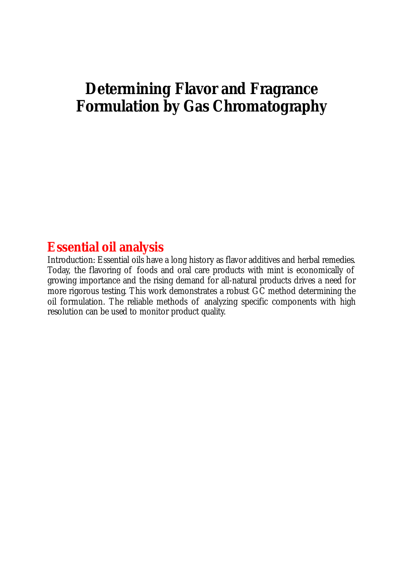## **Determining Flavor and Fragrance Formulation by Gas Chromatography**

## **Essential oil analysis**

Introduction: Essential oils have a long history as flavor additives and herbal remedies. Today, the flavoring of foods and oral care products with mint is economically of growing importance and the rising demand for all-natural products drives a need for more rigorous testing. This work demonstrates a robust GC method determining the oil formulation. The reliable methods of analyzing specific components with high resolution can be used to monitor product quality.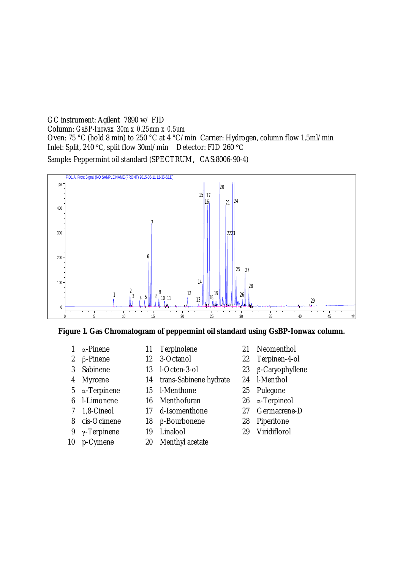GC instrument: Agilent 7890 w/ FID Column: *GsBP-Inowax* 3*0m x 0.25mm x 0.5um*  Oven: 75 °C (hold 8 min) to 250 °C at 4 °C/min Carrier: Hydrogen, column flow 1.5ml/min Inlet: Split, 240 °C, split flow 30ml/min Detector: FID 260 °C Sample: Peppermint oil standard (SPECTRUM, CAS:8006-90-4)



**Figure 1. Gas Chromatogram of peppermint oil standard using GsBP-Ionwax column.** 

- 
- 
- 
- -
	-
- 
- 
- 
- 
- 
- 
- 
- Myrcene 14 trans-Sabinene hydrate 24 l-Menthol
- ơ-Terpinene 15 l-Menthone 25 Pulegone
- l-Limonene 16 Menthofuran 26 ơ-Terpineol
- 1,8-Cineol 17 d-Isomenthone 27 Germacrene-D
- 8 cis-Ocimene 18 β-Bourbonene 28 Piperitone
	-
- p-Cymene 20 Menthyl acetate
- ơ-Pinene 11 Terpinolene 21 Neomenthol
- 2 B-Pinene 12 3-Octanol 22 Terpinen-4-ol
- 3 Sabinene 13 l-Octen-3-ol 23 β-Caryophyllene
	-
	-
	-
	-
	-
- 9  $\gamma$ -Terpinene 19 Linalool 29 Viridiflorol
-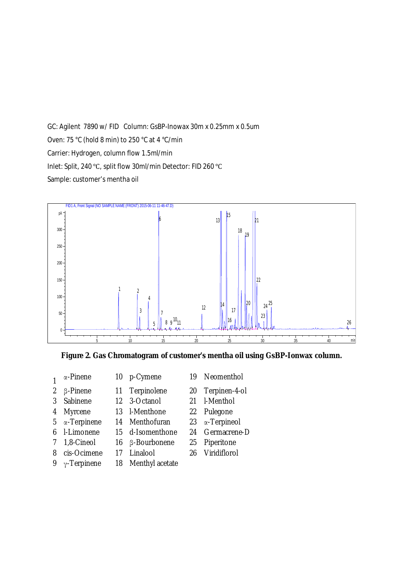GC: Agilent 7890 w/ FID Column: GsBP-Inowax 30m x 0.25mm x 0.5um Oven: 75 °C (hold 8 min) to 250 °C at 4 °C/min Carrier: Hydrogen, column flow 1.5ml/min Inlet: Split, 240 °C, split flow 30ml/min Detector: FID 260 °C Sample: customer's mentha oil



**Figure 2. Gas Chromatogram of customer's mentha oil using GsBP-Ionwax column.** 

- Ƣ-Pinene 11 Terpinolene 20 Terpinen-4-ol
- Sabinene 12 3-Octanol 21 l-Menthol
- Myrcene 13 l-Menthone 22 Pulegone
- ơ-Terpinene 14 Menthofuran 23 ơ-Terpineol
- l-Limonene 15 d-Isomenthone 24 Germacrene-D
- 1,8-Cineol 16 Ƣ-Bourbonene 25 Piperitone
- -
- 
- 9  $\gamma$ -Terpinene 18 Menthyl acetate
- 10 p-Cymene 19 Neomenthol
	-
	-
	-
	-
	-
	-
- cis-Ocimene 17 Linalool 26 Viridiflorol
- -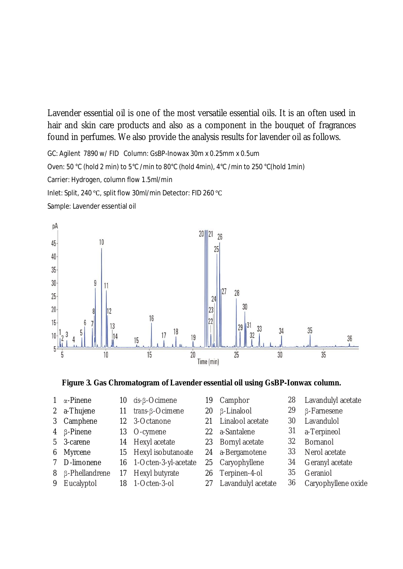Lavender essential oil is one of the most versatile essential oils. It is an often used in hair and skin care products and also as a component in the bouquet of fragrances found in perfumes. We also provide the analysis results for lavender oil as follows.

GC: Agilent 7890 w/ FID Column: GsBP-Inowax 30m x 0.25mm x 0.5um Oven: 50 °C (hold 2 min) to 5°C /min to 80°C (hold 4min), 4°C /min to 250 °C(hold 1min) Carrier: Hydrogen, column flow 1.5ml/min Inlet: Split, 240 °C, split flow 30ml/min Detector: FID 260 °C



**Figure 3. Gas Chromatogram of Lavender essential oil using GsBP-Ionwax column.** 

- 
- 
- 
- 
- 
- 
- 
- 
- 2 a-Thuiene 11 *trans-*B-Ocimene 20 B-Linalool 29 B-Farnesene
	-
- 4 Ƣ-Pinene 13 O-cymene 22 a-Santalene 31 a-Terpineol
	-
- 6 Myrcene 15 Hexyl isobutanoate 24 a-Bergamotene 33 Nerol acetate
	-
- 8 ß-Phellandrene 17 Hexyl butyrate 26 Terpinen-4-ol 35 Geraniol
	-
- 
- 
- 3 Camphene 12 3-Octanone 21 Linalool acetate 30 Lavandulol
	-
- 5 3-carene 14 Hexyl acetate 23 Bornyl acetate 32 Bornanol
	-
	-
	-
	-

1 α-Pinene 10 *cis*-β-Ocimene 19 Camphor 28 Lavandulyl acetate

36

- 
- 
- 
- 
- 
- 7 D-limonene 16 1-Octen-3-yl-acetate 25 Caryophyllene 34 Geranyl acetate
	-
- 9 Eucalyptol 18 1-Octen-3-ol 27 Lavandulyl acetate 36 Caryophyllene oxide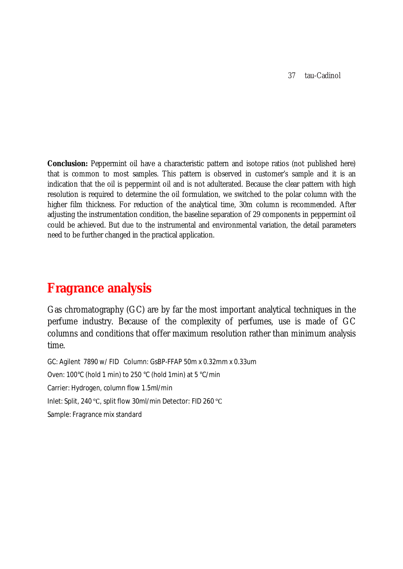37 tau-Cadinol

**Conclusion:** Peppermint oil have a characteristic pattern and isotope ratios (not published here) that is common to most samples. This pattern is observed in customer's sample and it is an indication that the oil is peppermint oil and is not adulterated. Because the clear pattern with high resolution is required to determine the oil formulation, we switched to the polar column with the higher film thickness. For reduction of the analytical time, 30m column is recommended. After adjusting the instrumentation condition, the baseline separation of 29 components in peppermint oil could be achieved. But due to the instrumental and environmental variation, the detail parameters need to be further changed in the practical application.

## **Fragrance analysis**

Gas chromatography (GC) are by far the most important analytical techniques in the perfume industry. Because of the complexity of perfumes, use is made of GC columns and conditions that offer maximum resolution rather than minimum analysis time.

GC: Agilent 7890 w/ FID Column: GsBP-FFAP 50m x 0.32mm x 0.33um Oven: 100°C (hold 1 min) to 250 °C (hold 1min) at 5 °C/min Carrier: Hydrogen, column flow 1.5ml/min Inlet: Split, 240 °C, split flow 30ml/min Detector: FID 260 °C Sample: Fragrance mix standard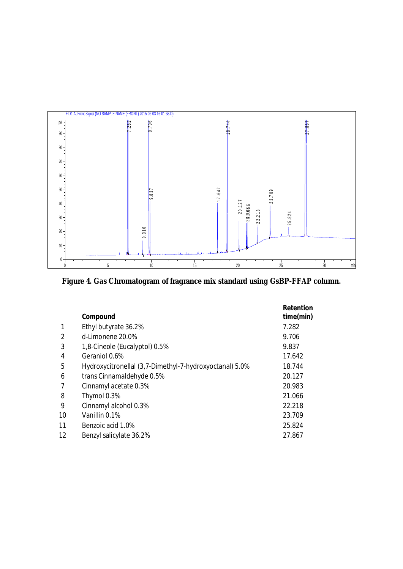

**Figure 4. Gas Chromatogram of fragrance mix standard using GsBP-FFAP column.** 

|                   |                                                         | Retention |
|-------------------|---------------------------------------------------------|-----------|
|                   | Compound                                                | time(min) |
|                   | Ethyl butyrate 36.2%                                    | 7.282     |
| $\mathcal{P}$     | $d$ -l imonene $20.0\%$                                 | 9.706     |
| 3                 | 1,8-Cineole (Eucalyptol) 0.5%                           | 9.837     |
| 4                 | Geraniol 0.6%                                           | 17.642    |
| 5                 | Hydroxycitronellal (3,7-Dimethyl-7-hydroxyoctanal) 5.0% | 18.744    |
| 6                 | trans Cinnamaldehyde 0.5%                               | 20.127    |
|                   | Cinnamyl acetate 0.3%                                   | 20.983    |
| 8                 | Thymol 0.3%                                             | 21.066    |
| 9                 | Cinnamyl alcohol 0.3%                                   | 22.218    |
| 10                | Vanillin 0.1%                                           | 23.709    |
| 11                | Benzoic acid 1.0%                                       | 25.824    |
| $12 \overline{ }$ | Benzyl salicylate 36.2%                                 | 27.867    |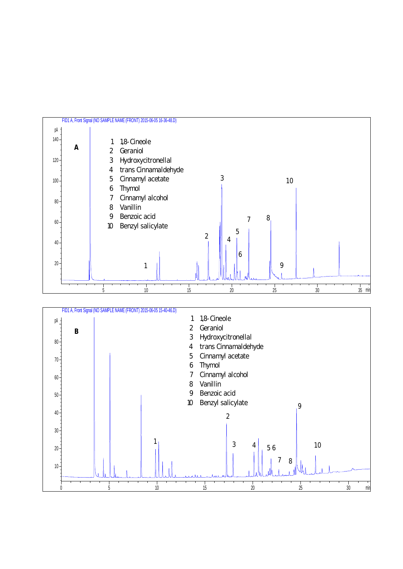